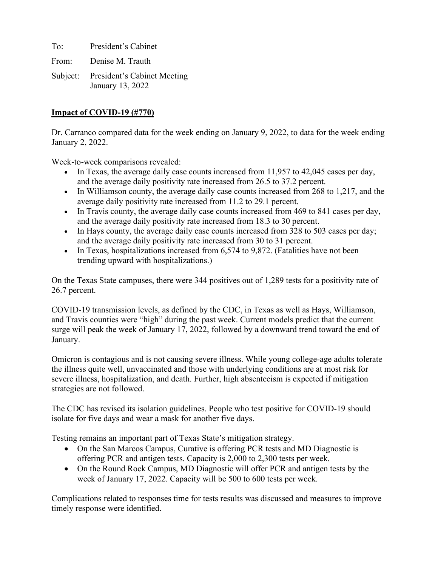To: President's Cabinet From: Denise M. Trauth Subject: President's Cabinet Meeting January 13, 2022

# **Impact of COVID-19 (#770)**

Dr. Carranco compared data for the week ending on January 9, 2022, to data for the week ending January 2, 2022.

Week-to-week comparisons revealed:

- In Texas, the average daily case counts increased from 11,957 to 42,045 cases per day, and the average daily positivity rate increased from 26.5 to 37.2 percent.
- In Williamson county, the average daily case counts increased from 268 to 1,217, and the average daily positivity rate increased from 11.2 to 29.1 percent.
- In Travis county, the average daily case counts increased from 469 to 841 cases per day, and the average daily positivity rate increased from 18.3 to 30 percent.
- In Hays county, the average daily case counts increased from 328 to 503 cases per day; and the average daily positivity rate increased from 30 to 31 percent.
- In Texas, hospitalizations increased from 6,574 to 9,872. (Fatalities have not been trending upward with hospitalizations.)

On the Texas State campuses, there were 344 positives out of 1,289 tests for a positivity rate of 26.7 percent.

COVID-19 transmission levels, as defined by the CDC, in Texas as well as Hays, Williamson, and Travis counties were "high" during the past week. Current models predict that the current surge will peak the week of January 17, 2022, followed by a downward trend toward the end of January.

Omicron is contagious and is not causing severe illness. While young college-age adults tolerate the illness quite well, unvaccinated and those with underlying conditions are at most risk for severe illness, hospitalization, and death. Further, high absenteeism is expected if mitigation strategies are not followed.

The CDC has revised its isolation guidelines. People who test positive for COVID-19 should isolate for five days and wear a mask for another five days.

Testing remains an important part of Texas State's mitigation strategy.

- On the San Marcos Campus, Curative is offering PCR tests and MD Diagnostic is offering PCR and antigen tests. Capacity is 2,000 to 2,300 tests per week.
- On the Round Rock Campus, MD Diagnostic will offer PCR and antigen tests by the week of January 17, 2022. Capacity will be 500 to 600 tests per week.

Complications related to responses time for tests results was discussed and measures to improve timely response were identified.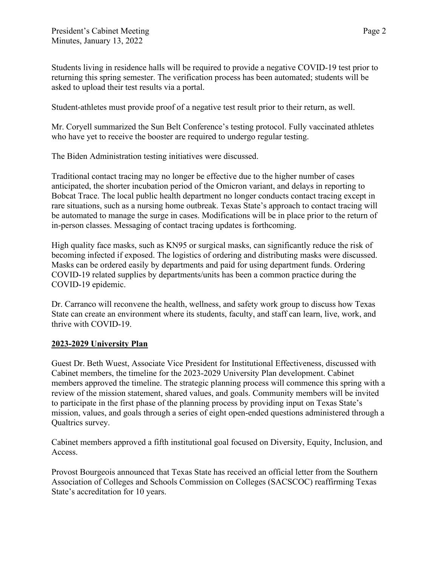Students living in residence halls will be required to provide a negative COVID-19 test prior to returning this spring semester. The verification process has been automated; students will be asked to upload their test results via a portal.

Student-athletes must provide proof of a negative test result prior to their return, as well.

Mr. Coryell summarized the Sun Belt Conference's testing protocol. Fully vaccinated athletes who have yet to receive the booster are required to undergo regular testing.

The Biden Administration testing initiatives were discussed.

Traditional contact tracing may no longer be effective due to the higher number of cases anticipated, the shorter incubation period of the Omicron variant, and delays in reporting to Bobcat Trace. The local public health department no longer conducts contact tracing except in rare situations, such as a nursing home outbreak. Texas State's approach to contact tracing will be automated to manage the surge in cases. Modifications will be in place prior to the return of in-person classes. Messaging of contact tracing updates is forthcoming.

High quality face masks, such as KN95 or surgical masks, can significantly reduce the risk of becoming infected if exposed. The logistics of ordering and distributing masks were discussed. Masks can be ordered easily by departments and paid for using department funds. Ordering COVID-19 related supplies by departments/units has been a common practice during the COVID-19 epidemic.

Dr. Carranco will reconvene the health, wellness, and safety work group to discuss how Texas State can create an environment where its students, faculty, and staff can learn, live, work, and thrive with COVID-19.

# **2023-2029 University Plan**

Guest Dr. Beth Wuest, Associate Vice President for Institutional Effectiveness, discussed with Cabinet members, the timeline for the 2023-2029 University Plan development. Cabinet members approved the timeline. The strategic planning process will commence this spring with a review of the mission statement, shared values, and goals. Community members will be invited to participate in the first phase of the planning process by providing input on Texas State's mission, values, and goals through a series of eight open-ended questions administered through a Qualtrics survey.

Cabinet members approved a fifth institutional goal focused on Diversity, Equity, Inclusion, and Access.

Provost Bourgeois announced that Texas State has received an official letter from the Southern Association of Colleges and Schools Commission on Colleges (SACSCOC) reaffirming Texas State's accreditation for 10 years.